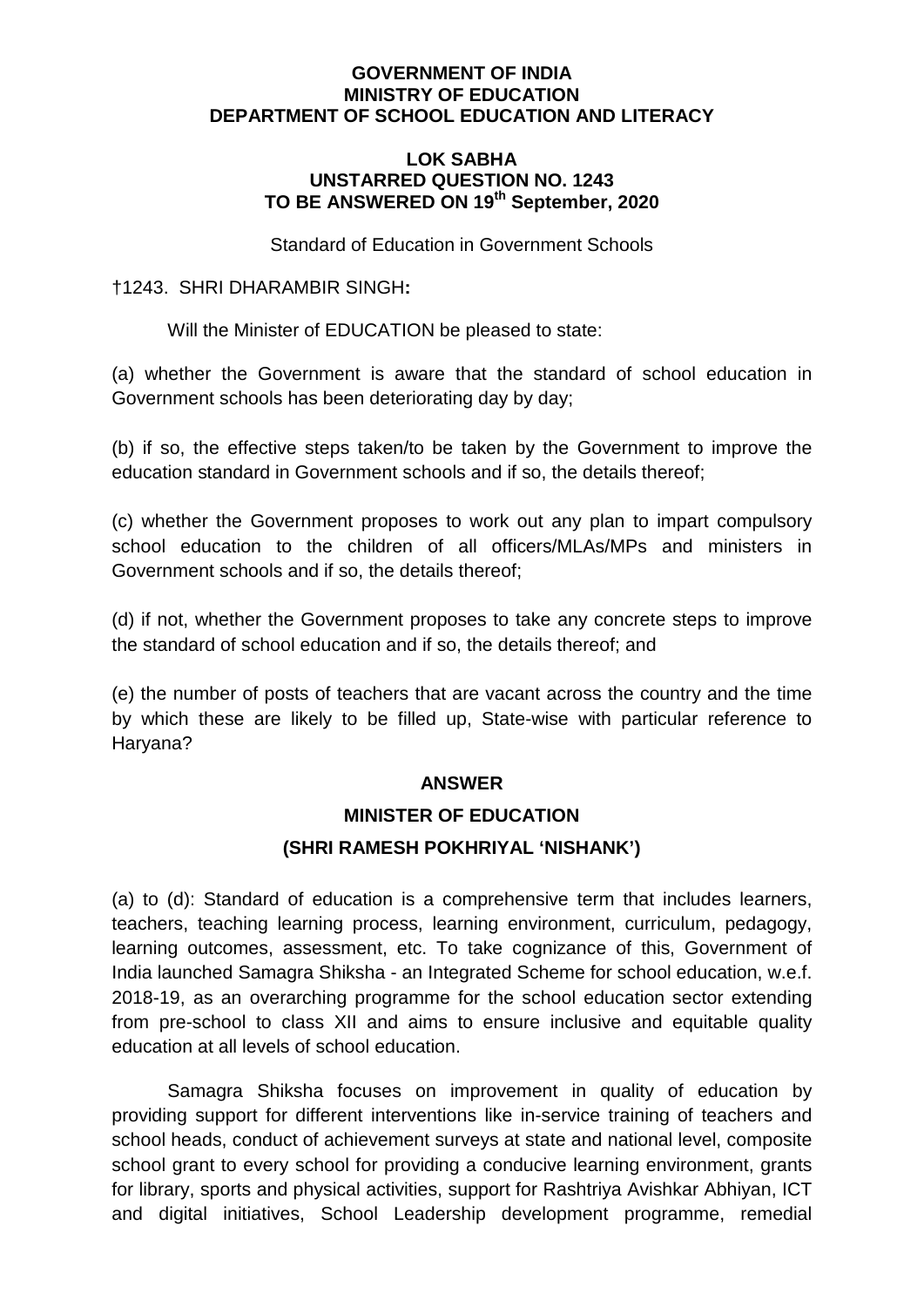#### **GOVERNMENT OF INDIA MINISTRY OF EDUCATION DEPARTMENT OF SCHOOL EDUCATION AND LITERACY**

#### **LOK SABHA UNSTARRED QUESTION NO. 1243 TO BE ANSWERED ON 19th September, 2020**

Standard of Education in Government Schools

### †1243.SHRI DHARAMBIR SINGH**:**

Will the Minister of EDUCATION be pleased to state:

(a) whether the Government is aware that the standard of school education in Government schools has been deteriorating day by day;

(b) if so, the effective steps taken/to be taken by the Government to improve the education standard in Government schools and if so, the details thereof;

(c) whether the Government proposes to work out any plan to impart compulsory school education to the children of all officers/MLAs/MPs and ministers in Government schools and if so, the details thereof;

(d) if not, whether the Government proposes to take any concrete steps to improve the standard of school education and if so, the details thereof; and

(e) the number of posts of teachers that are vacant across the country and the time by which these are likely to be filled up, State-wise with particular reference to Haryana?

#### **ANSWER**

# **MINISTER OF EDUCATION**

## **(SHRI RAMESH POKHRIYAL 'NISHANK')**

(a) to (d): Standard of education is a comprehensive term that includes learners, teachers, teaching learning process, learning environment, curriculum, pedagogy, learning outcomes, assessment, etc. To take cognizance of this, Government of India launched Samagra Shiksha - an Integrated Scheme for school education, w.e.f. 2018-19, as an overarching programme for the school education sector extending from pre-school to class XII and aims to ensure inclusive and equitable quality education at all levels of school education.

Samagra Shiksha focuses on improvement in quality of education by providing support for different interventions like in-service training of teachers and school heads, conduct of achievement surveys at state and national level, composite school grant to every school for providing a conducive learning environment, grants for library, sports and physical activities, support for Rashtriya Avishkar Abhiyan, ICT and digital initiatives, School Leadership development programme, remedial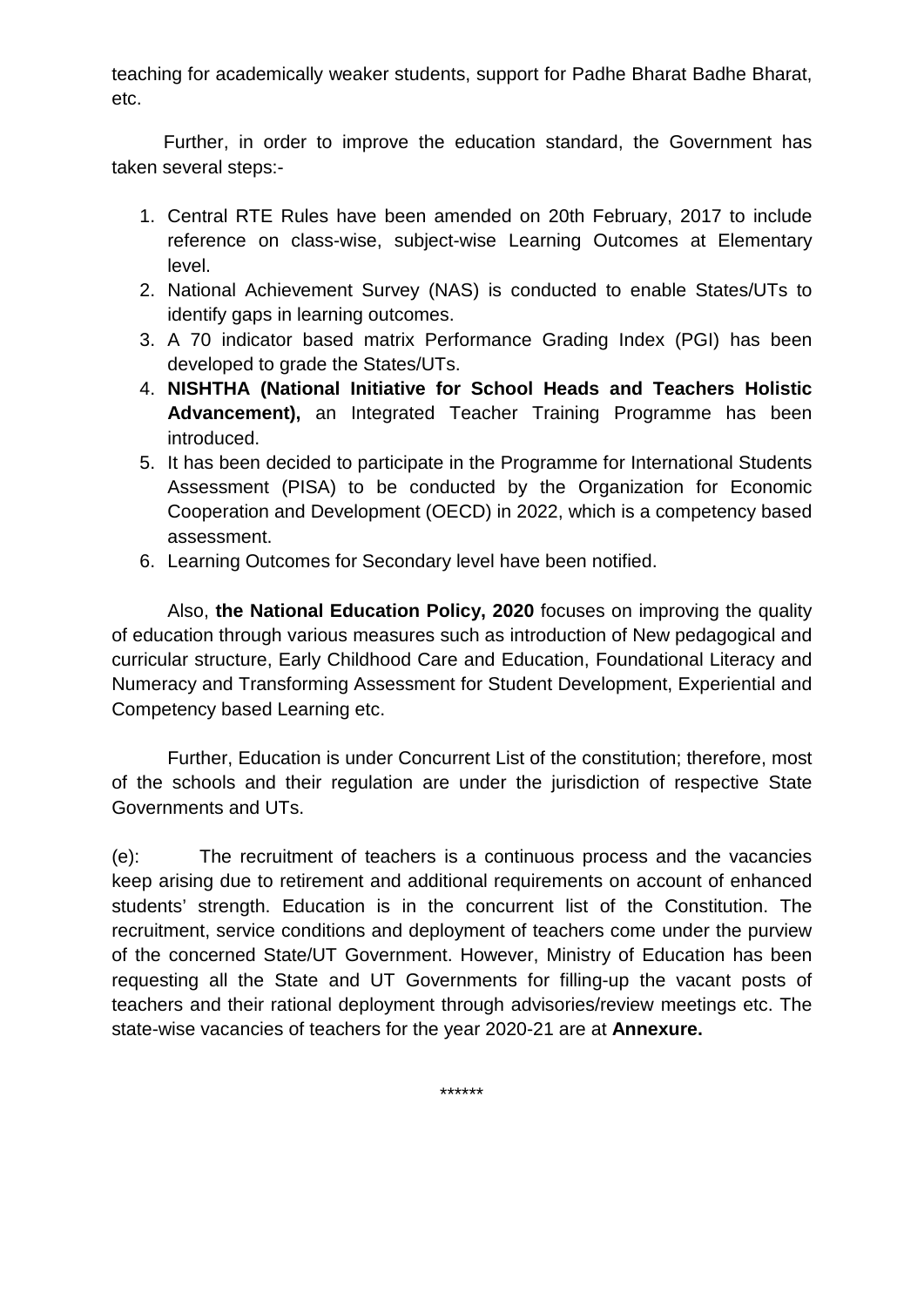teaching for academically weaker students, support for Padhe Bharat Badhe Bharat, etc.

 Further, in order to improve the education standard, the Government has taken several steps:-

- 1. Central RTE Rules have been amended on 20th February, 2017 to include reference on class-wise, subject-wise Learning Outcomes at Elementary level.
- 2. National Achievement Survey (NAS) is conducted to enable States/UTs to identify gaps in learning outcomes.
- 3. A 70 indicator based matrix Performance Grading Index (PGI) has been developed to grade the States/UTs.
- 4. **NISHTHA (National Initiative for School Heads and Teachers Holistic Advancement),** an Integrated Teacher Training Programme has been introduced.
- 5. It has been decided to participate in the Programme for International Students Assessment (PISA) to be conducted by the Organization for Economic Cooperation and Development (OECD) in 2022, which is a competency based assessment.
- 6. Learning Outcomes for Secondary level have been notified.

Also, **the National Education Policy, 2020** focuses on improving the quality of education through various measures such as introduction of New pedagogical and curricular structure, Early Childhood Care and Education, Foundational Literacy and Numeracy and Transforming Assessment for Student Development, Experiential and Competency based Learning etc.

Further, Education is under Concurrent List of the constitution; therefore, most of the schools and their regulation are under the jurisdiction of respective State Governments and UTs.

(e): The recruitment of teachers is a continuous process and the vacancies keep arising due to retirement and additional requirements on account of enhanced students' strength. Education is in the concurrent list of the Constitution. The recruitment, service conditions and deployment of teachers come under the purview of the concerned State/UT Government. However, Ministry of Education has been requesting all the State and UT Governments for filling-up the vacant posts of teachers and their rational deployment through advisories/review meetings etc. The state-wise vacancies of teachers for the year 2020-21 are at **Annexure.**

\*\*\*\*\*\*